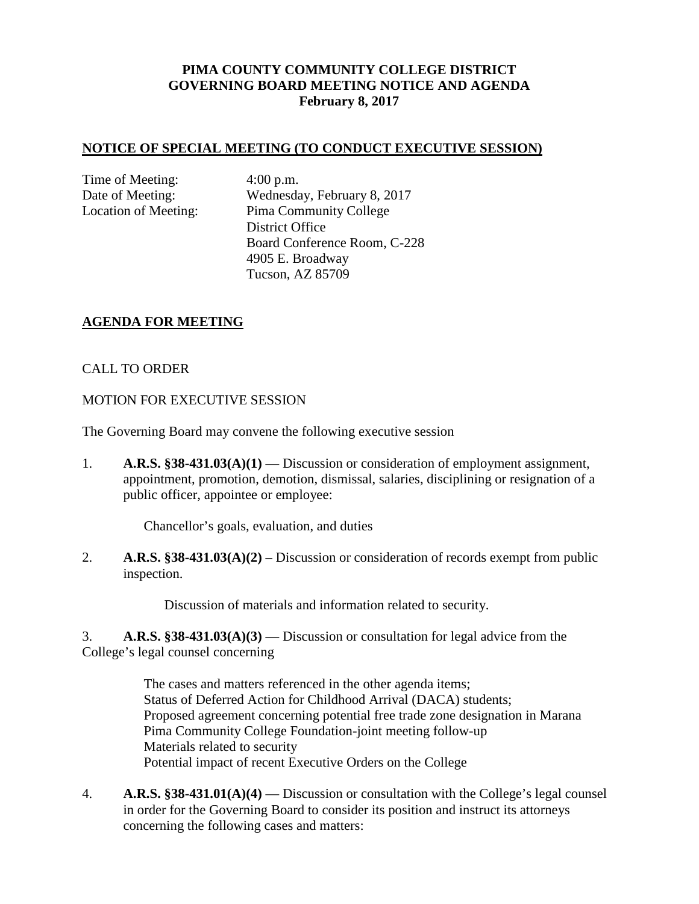## **PIMA COUNTY COMMUNITY COLLEGE DISTRICT GOVERNING BOARD MEETING NOTICE AND AGENDA February 8, 2017**

#### **NOTICE OF SPECIAL MEETING (TO CONDUCT EXECUTIVE SESSION)**

Time of Meeting: 4:00 p.m.

Date of Meeting: Wednesday, February 8, 2017 Location of Meeting: Pima Community College District Office Board Conference Room, C-228 4905 E. Broadway Tucson, AZ 85709

### **AGENDA FOR MEETING**

#### CALL TO ORDER

#### MOTION FOR EXECUTIVE SESSION

The Governing Board may convene the following executive session

1. **A.R.S. §38-431.03(A)(1)** — Discussion or consideration of employment assignment, appointment, promotion, demotion, dismissal, salaries, disciplining or resignation of a public officer, appointee or employee:

Chancellor's goals, evaluation, and duties

2. **A.R.S. §38-431.03(A)(2)** – Discussion or consideration of records exempt from public inspection.

Discussion of materials and information related to security.

3. **A.R.S. §38-431.03(A)(3)** — Discussion or consultation for legal advice from the College's legal counsel concerning

> The cases and matters referenced in the other agenda items; Status of Deferred Action for Childhood Arrival (DACA) students; Proposed agreement concerning potential free trade zone designation in Marana Pima Community College Foundation-joint meeting follow-up Materials related to security Potential impact of recent Executive Orders on the College

4. **A.R.S. §38-431.01(A)(4)** — Discussion or consultation with the College's legal counsel in order for the Governing Board to consider its position and instruct its attorneys concerning the following cases and matters: